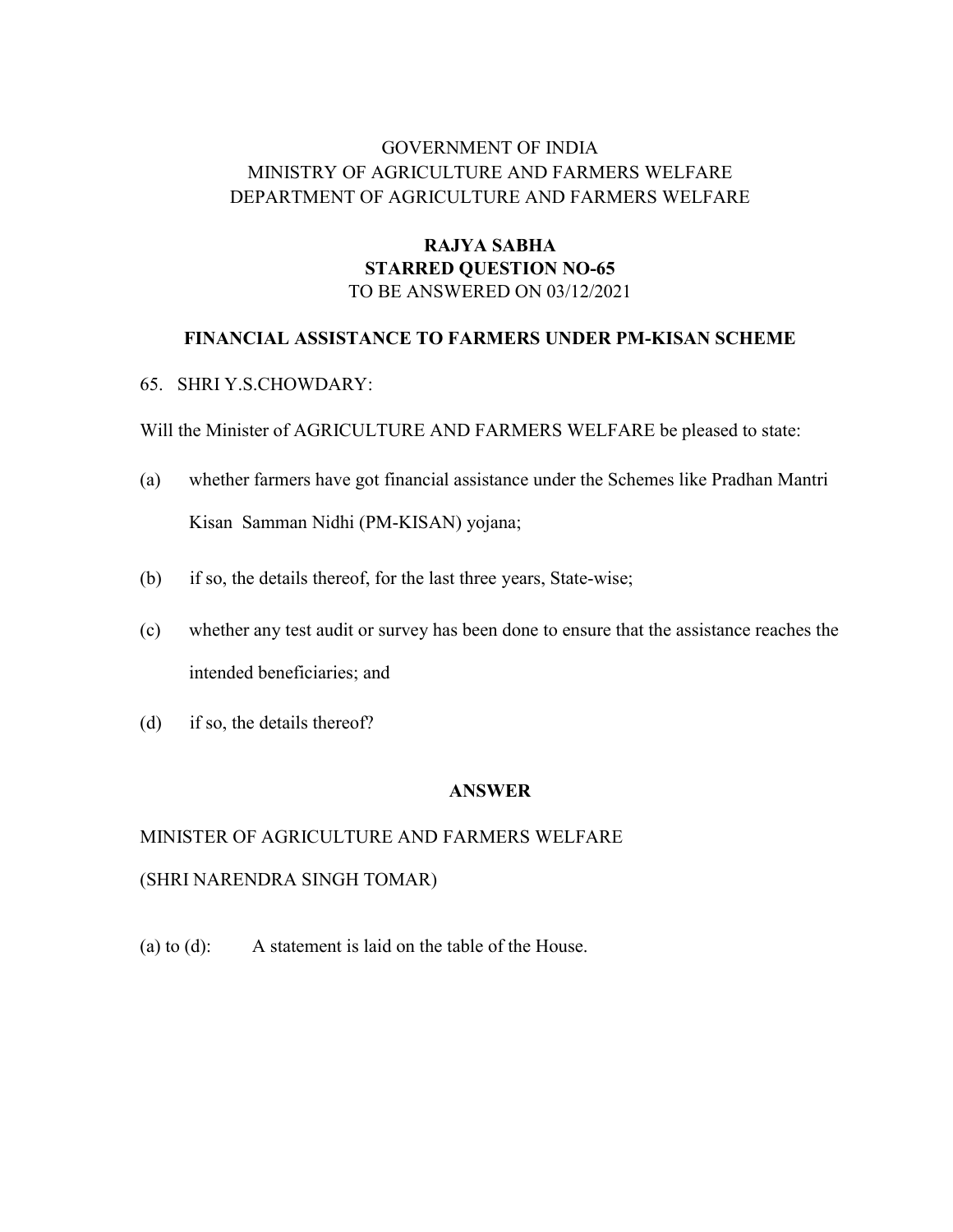# GOVERNMENT OF INDIA MINISTRY OF AGRICULTURE AND FARMERS WELFARE DEPARTMENT OF AGRICULTURE AND FARMERS WELFARE

## RAJYA SABHA STARRED QUESTION NO-65 TO BE ANSWERED ON 03/12/2021

## FINANCIAL ASSISTANCE TO FARMERS UNDER PM-KISAN SCHEME

## 65. SHRI Y.S.CHOWDARY:

Will the Minister of AGRICULTURE AND FARMERS WELFARE be pleased to state:

- (a) whether farmers have got financial assistance under the Schemes like Pradhan Mantri Kisan Samman Nidhi (PM-KISAN) yojana;
- (b) if so, the details thereof, for the last three years, State-wise;
- (c) whether any test audit or survey has been done to ensure that the assistance reaches the intended beneficiaries; and
- (d) if so, the details thereof?

#### ANSWER

# MINISTER OF AGRICULTURE AND FARMERS WELFARE (SHRI NARENDRA SINGH TOMAR)

(a) to (d): A statement is laid on the table of the House.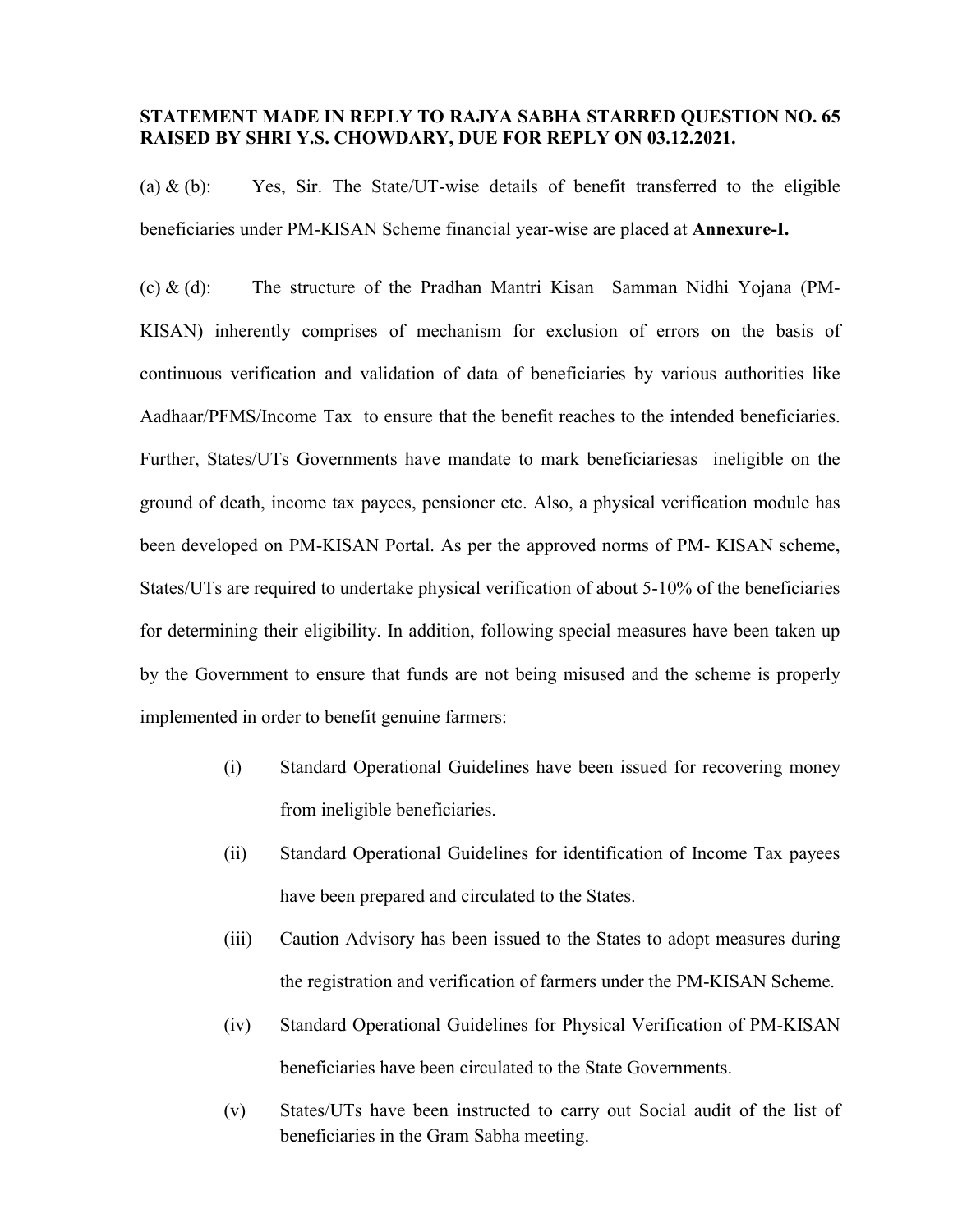### STATEMENT MADE IN REPLY TO RAJYA SABHA STARRED QUESTION NO. 65 RAISED BY SHRI Y.S. CHOWDARY, DUE FOR REPLY ON 03.12.2021.

(a)  $\&$  (b): Yes, Sir. The State/UT-wise details of benefit transferred to the eligible beneficiaries under PM-KISAN Scheme financial year-wise are placed at Annexure-I.

(c) & (d): The structure of the Pradhan Mantri Kisan Samman Nidhi Yojana (PM-KISAN) inherently comprises of mechanism for exclusion of errors on the basis of continuous verification and validation of data of beneficiaries by various authorities like Aadhaar/PFMS/Income Tax to ensure that the benefit reaches to the intended beneficiaries. Further, States/UTs Governments have mandate to mark beneficiariesas ineligible on the ground of death, income tax payees, pensioner etc. Also, a physical verification module has been developed on PM-KISAN Portal. As per the approved norms of PM- KISAN scheme, States/UTs are required to undertake physical verification of about 5-10% of the beneficiaries for determining their eligibility. In addition, following special measures have been taken up by the Government to ensure that funds are not being misused and the scheme is properly implemented in order to benefit genuine farmers:

- (i) Standard Operational Guidelines have been issued for recovering money from ineligible beneficiaries.
- (ii) Standard Operational Guidelines for identification of Income Tax payees have been prepared and circulated to the States.
- (iii) Caution Advisory has been issued to the States to adopt measures during the registration and verification of farmers under the PM-KISAN Scheme.
- (iv) Standard Operational Guidelines for Physical Verification of PM-KISAN beneficiaries have been circulated to the State Governments.
- (v) States/UTs have been instructed to carry out Social audit of the list of beneficiaries in the Gram Sabha meeting.